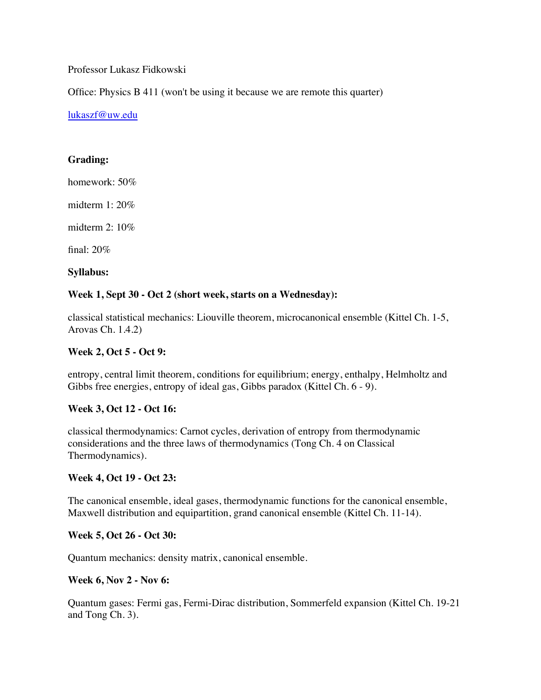Professor Lukasz Fidkowski

Office: Physics B 411 (won't be using it because we are remote this quarter)

[lukaszf@uw.edu](mailto:lukaszf@uw.edu)

## **Grading:**

homework: 50%

midterm 1: 20%

midterm 2: 10%

final: 20%

**Syllabus:**

## **Week 1, Sept 30 - Oct 2 (short week, starts on a Wednesday):**

classical statistical mechanics: Liouville theorem, microcanonical ensemble (Kittel Ch. 1-5, Arovas Ch. 1.4.2)

### **Week 2, Oct 5 - Oct 9:**

entropy, central limit theorem, conditions for equilibrium; energy, enthalpy, Helmholtz and Gibbs free energies, entropy of ideal gas, Gibbs paradox (Kittel Ch. 6 - 9).

## **Week 3, Oct 12 - Oct 16:**

classical thermodynamics: Carnot cycles, derivation of entropy from thermodynamic considerations and the three laws of thermodynamics (Tong Ch. 4 on Classical Thermodynamics).

## **Week 4, Oct 19 - Oct 23:**

The canonical ensemble, ideal gases, thermodynamic functions for the canonical ensemble, Maxwell distribution and equipartition, grand canonical ensemble (Kittel Ch. 11-14).

## **Week 5, Oct 26 - Oct 30:**

Quantum mechanics: density matrix, canonical ensemble.

#### **Week 6, Nov 2 - Nov 6:**

Quantum gases: Fermi gas, Fermi-Dirac distribution, Sommerfeld expansion (Kittel Ch. 19-21 and Tong Ch. 3).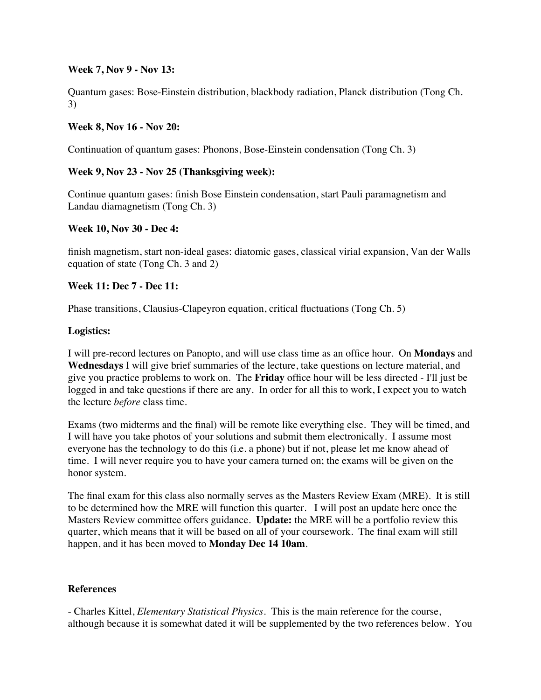### **Week 7, Nov 9 - Nov 13:**

Quantum gases: Bose-Einstein distribution, blackbody radiation, Planck distribution (Tong Ch. 3)

## **Week 8, Nov 16 - Nov 20:**

Continuation of quantum gases: Phonons, Bose-Einstein condensation (Tong Ch. 3)

# **Week 9, Nov 23 - Nov 25 (Thanksgiving week):**

Continue quantum gases: finish Bose Einstein condensation, start Pauli paramagnetism and Landau diamagnetism (Tong Ch. 3)

## **Week 10, Nov 30 - Dec 4:**

finish magnetism, start non-ideal gases: diatomic gases, classical virial expansion, Van der Walls equation of state (Tong Ch. 3 and 2)

## **Week 11: Dec 7 - Dec 11:**

Phase transitions, Clausius-Clapeyron equation, critical fluctuations (Tong Ch. 5)

#### **Logistics:**

I will pre-record lectures on Panopto, and will use class time as an office hour. On **Mondays** and **Wednesdays** I will give brief summaries of the lecture, take questions on lecture material, and give you practice problems to work on. The **Friday** office hour will be less directed - I'll just be logged in and take questions if there are any. In order for all this to work, I expect you to watch the lecture *before* class time.

Exams (two midterms and the final) will be remote like everything else. They will be timed, and I will have you take photos of your solutions and submit them electronically. I assume most everyone has the technology to do this (i.e. a phone) but if not, please let me know ahead of time. I will never require you to have your camera turned on; the exams will be given on the honor system.

The final exam for this class also normally serves as the Masters Review Exam (MRE). It is still to be determined how the MRE will function this quarter. I will post an update here once the Masters Review committee offers guidance. **Update:** the MRE will be a portfolio review this quarter, which means that it will be based on all of your coursework. The final exam will still happen, and it has been moved to **Monday Dec 14 10am**.

## **References**

- Charles Kittel, *Elementary Statistical Physics*. This is the main reference for the course, although because it is somewhat dated it will be supplemented by the two references below. You